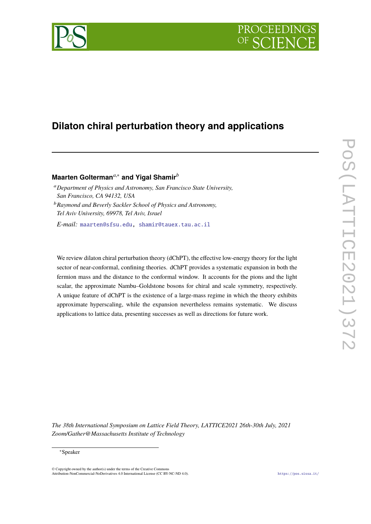# PROCEEDIN



# **Dilaton chiral perturbation theory and applications**

# **Maarten Golterman***a*,<sup>∗</sup> **and Yigal Shamir***<sup>b</sup>*

<sup>a</sup>*Department of Physics and Astronomy, San Francisco State University, San Francisco, CA 94132, USA*

<sup>b</sup>*Raymond and Beverly Sackler School of Physics and Astronomy, Tel Aviv University, 69978, Tel Aviv, Israel*

*E-mail:* [maarten@sfsu.edu,](mailto:maarten@sfsu.edu) [shamir@tauex.tau.ac.il](mailto:shamir@tauex.tau.ac.il)

We review dilaton chiral perturbation theory (dChPT), the effective low-energy theory for the light sector of near-conformal, confining theories. dChPT provides a systematic expansion in both the fermion mass and the distance to the conformal window. It accounts for the pions and the light scalar, the approximate Nambu–Goldstone bosons for chiral and scale symmetry, respectively. A unique feature of dChPT is the existence of a large-mass regime in which the theory exhibits approximate hyperscaling, while the expansion nevertheless remains systematic. We discuss applications to lattice data, presenting successes as well as directions for future work.

*The 38th International Symposium on Lattice Field Theory, LATTICE2021 26th-30th July, 2021 Zoom/Gather@Massachusetts Institute of Technology*

#### <sup>∗</sup>Speaker

 $\odot$  Copyright owned by the author(s) under the terms of the Creative Common Attribution-NonCommercial-NoDerivatives 4.0 International License (CC BY-NC-ND 4.0). <https://pos.sissa.it/>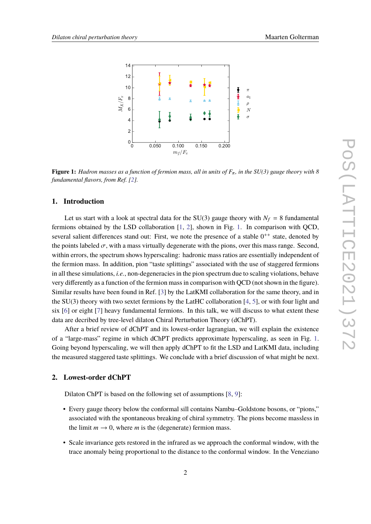<span id="page-1-0"></span>

**Figure 1:** *Hadron masses as a function of fermion mass, all in units of <sup>F</sup>*π*, in the SU(3) gauge theory with 8 fundamental flavors, from Ref. [\[2\]](#page-7-0).*

## **1. Introduction**

Let us start with a look at spectral data for the SU(3) gauge theory with  $N_f = 8$  fundamental fermions obtained by the LSD collaboration [\[1,](#page-7-1) [2\]](#page-7-0), shown in Fig. [1.](#page-1-0) In comparison with QCD, several salient differences stand out: First, we note the presence of a stable  $0^{++}$  state, denoted by the points labeled  $\sigma$ , with a mass virtually degenerate with the pions, over this mass range. Second, within errors, the spectrum shows hyperscaling: hadronic mass ratios are essentially independent of the fermion mass. In addition, pion "taste splittings" associated with the use of staggered fermions in all these simulations, *i.e.*, non-degeneracies in the pion spectrum due to scaling violations, behave very differently as a function of the fermion mass in comparison with QCD (not shown in the figure). Similar results have been found in Ref. [\[3\]](#page-7-2) by the LatKMI collaboration for the same theory, and in the  $SU(3)$  theory with two sextet fermions by the LatHC collaboration [\[4,](#page-7-3) [5\]](#page-7-4), or with four light and six [\[6\]](#page-7-5) or eight [\[7\]](#page-7-6) heavy fundamental fermions. In this talk, we will discuss to what extent these data are decribed by tree-level dilaton Chiral Perturbation Theory (dChPT).

After a brief review of dChPT and its lowest-order lagrangian, we will explain the existence of a "large-mass" regime in which dChPT predicts approximate hyperscaling, as seen in Fig. [1.](#page-1-0) Going beyond hyperscaling, we will then apply dChPT to fit the LSD and LatKMI data, including the measured staggered taste splittings. We conclude with a brief discussion of what might be next.

# **2. Lowest-order dChPT**

Dilaton ChPT is based on the following set of assumptions [\[8,](#page-7-7) [9\]](#page-7-8):

- Every gauge theory below the conformal sill contains Nambu–Goldstone bosons, or "pions," associated with the spontaneous breaking of chiral symmetry. The pions become massless in the limit  $m \to 0$ , where *m* is the (degenerate) fermion mass.
- Scale invariance gets restored in the infrared as we approach the conformal window, with the trace anomaly being proportional to the distance to the conformal window. In the Veneziano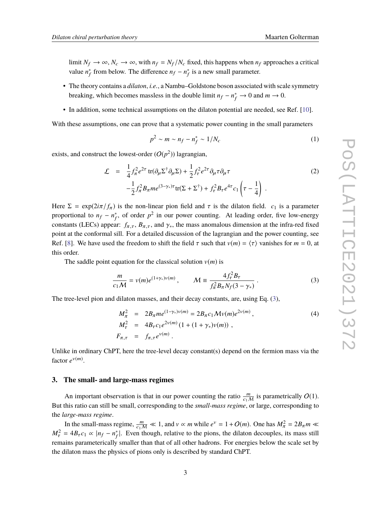limit  $N_f \to \infty$ ,  $N_c \to \infty$ , with  $n_f = N_f/N_c$  fixed, this happens when  $n_f$  approaches a critical value  $n_f^*$  $f_f^*$  from below. The difference  $nf - n_f^*$  $_{f}^{*}$  is a new small parameter.

- The theory contains a *dilaton*, *i.e.*, a Nambu–Goldstone boson associated with scale symmetry breaking, which becomes massless in the double limit  $n_f - n_f^* \to 0$  and  $m \to 0$ .
- In addition, some technical assumptions on the dilaton potential are needed, see Ref. [\[10\]](#page-7-9).

With these assumptions, one can prove that a systematic power counting in the small parameters

$$
p^2 \sim m \sim n_f - n_f^* \sim 1/N_c \tag{1}
$$

exists, and construct the lowest-order  $(O(p^2))$  lagrangian,

<span id="page-2-2"></span>
$$
\mathcal{L} = \frac{1}{4} f_{\pi}^2 e^{2\tau} \operatorname{tr}(\partial_{\mu} \Sigma^{\dagger} \partial_{\mu} \Sigma) + \frac{1}{2} f_{\tau}^2 e^{2\tau} \partial_{\mu} \tau \partial_{\mu} \tau -\frac{1}{2} f_{\pi}^2 B_{\pi} m e^{(3-\gamma_*)\tau} \operatorname{tr}(\Sigma + \Sigma^{\dagger}) + f_{\tau}^2 B_{\tau} e^{4\tau} c_1 \left(\tau - \frac{1}{4}\right).
$$
\n(2)

Here  $\Sigma = \exp(2i\pi/f_\pi)$  is the non-linear pion field and  $\tau$  is the dilaton field.  $c_1$  is a parameter proportional to  $n_f - n_f^*$  $_{f}^{*}$ , of order  $p^2$  in our power counting. At leading order, five low-energy constants (LECs) appear:  $f_{\pi,\tau}$ ,  $B_{\pi,\tau}$ , and  $\gamma_*$ , the mass anomalous dimension at the infra-red fixed point at the conformal sill. For a detailed discussion of the lagrangian and the power counting, see Ref. [\[8\]](#page-7-7). We have used the freedom to shift the field  $\tau$  such that  $v(m) = \langle \tau \rangle$  vanishes for  $m = 0$ , at this order.

The saddle point equation for the classical solution  $v(m)$  is

<span id="page-2-0"></span>
$$
\frac{m}{c_1 M} = v(m)e^{(1+\gamma_*)v(m)}, \qquad M \equiv \frac{4f_\tau^2 B_\tau}{f_\pi^2 B_\pi N_f(3-\gamma_*)} \,. \tag{3}
$$

The tree-level pion and dilaton masses, and their decay constants, are, using Eq. [\(3\)](#page-2-0),

<span id="page-2-1"></span>
$$
M_{\pi}^{2} = 2B_{\pi}me^{(1-\gamma_{*})v(m)} = 2B_{\pi}c_{1}\mathcal{M}v(m)e^{2v(m)},
$$
  
\n
$$
M_{\tau}^{2} = 4B_{\tau}c_{1}e^{2v(m)}(1 + (1 + \gamma_{*})v(m)),
$$
  
\n
$$
F_{\pi,\tau} = f_{\pi,\tau}e^{v(m)}.
$$
\n(4)

Unlike in ordinary ChPT, here the tree-level decay constant(s) depend on the fermion mass via the factor  $e^{v(m)}$ .

#### **3. The small- and large-mass regimes**

An important observation is that in our power counting the ratio  $\frac{m}{c_1M}$  is parametrically  $O(1)$ . But this ratio can still be small, corresponding to the *small-mass regime*, or large, corresponding to the *large-mass regime*.

In the small-mass regime,  $\frac{m}{c_1M} \ll 1$ , and  $v \propto m$  while  $e^v = 1 + O(m)$ . One has  $M_\pi^2 = 2B_\pi m \ll$  $M_{\tau}^2 = 4B_{\tau}c_1 \propto |n_f - n_f^*|$  $f<sub>f</sub>$ . Even though, relative to the pions, the dilaton decouples, its mass still remains parameterically smaller than that of all other hadrons. For energies below the scale set by the dilaton mass the physics of pions only is described by standard ChPT.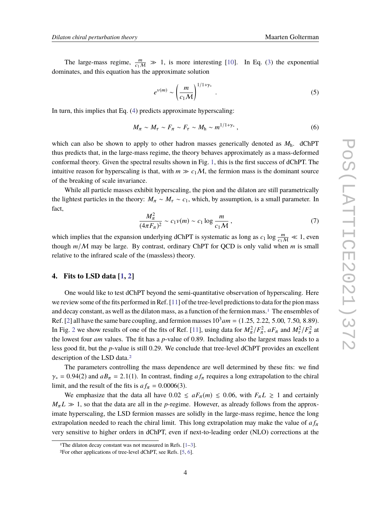The large-mass regime,  $\frac{m}{c_1M} \gg 1$ , is more interesting [\[10\]](#page-7-9). In Eq. [\(3\)](#page-2-0) the exponential dominates, and this equation has the approximate solution

$$
e^{\nu(m)} \sim \left(\frac{m}{c_1 M}\right)^{1/1+\gamma_*} \tag{5}
$$

In turn, this implies that Eq. [\(4\)](#page-2-1) predicts approximate hyperscaling:

$$
M_{\pi} \sim M_{\tau} \sim F_{\pi} \sim F_{\tau} \sim M_{\rm h} \sim m^{1/1+\gamma_*} \,, \tag{6}
$$

which can also be shown to apply to other hadron masses generically denoted as  $M<sub>h</sub>$ . dChPT thus predicts that, in the large-mass regime, the theory behaves approximately as a mass-deformed conformal theory. Given the spectral results shown in Fig. [1,](#page-1-0) this is the first success of dChPT. The intuitive reason for hyperscaling is that, with  $m \gg c_1/M$ , the fermion mass is the dominant source of the breaking of scale invariance.

While all particle masses exhibit hyperscaling, the pion and the dilaton are still parametrically the lightest particles in the theory:  $M_{\pi} \sim M_{\tau} \sim c_1$ , which, by assumption, is a small parameter. In fact,

$$
\frac{M_{\pi}^2}{(4\pi F_{\pi})^2} \sim c_1 v(m) \sim c_1 \log \frac{m}{c_1 M},
$$
\n(7)

which implies that the expansion underlying dChPT is systematic as long as  $c_1 \log \frac{m}{c_1 M} \ll 1$ , even though  $m/M$  may be large. By contrast, ordinary ChPT for QCD is only valid when  $m$  is small relative to the infrared scale of the (massless) theory.

# **4. Fits to LSD data [\[1,](#page-7-1) [2\]](#page-7-0)**

One would like to test dChPT beyond the semi-quantitative observation of hyperscaling. Here we review some of the fits performed in Ref. [\[11\]](#page-7-10) of the tree-level predictions to data for the pion mass and decay constant, as well as the dilaton mass, as a function of the fermion mass.[1](#page-3-0) The ensembles of Ref. [\[2\]](#page-7-0) all have the same bare coupling, and fermion masses  $10^3$  am = (1.25, 2.22, 5.00, 7.50, 8.89). In Fig. [2](#page-4-0) we show results of one of the fits of Ref. [\[11\]](#page-7-10), using data for  $M_{\pi}^2/F_{\pi}^2$ ,  $aF_{\pi}$  and  $M_{\pi}^2/F_{\pi}^2$  at the lowest four *am* values. The fit has a *p*-value of 0.89. Including also the largest mass leads to a less good fit, but the *p*-value is still 0.29. We conclude that tree-level dChPT provides an excellent description of the LSD data.[2](#page-3-1)

The parameters controlling the mass dependence are well determined by these fits: we find  $\gamma_* = 0.94(2)$  and  $aB_\pi = 2.1(1)$ . In contrast, finding  $a f_\pi$  requires a long extrapolation to the chiral limit, and the result of the fits is  $a f_{\pi} = 0.0006(3)$ .

We emphasize that the data all have  $0.02 \le aF_{\pi}(m) \le 0.06$ , with  $F_{\pi}L \ge 1$  and certainly  $M_{\pi} L \gg 1$ , so that the data are all in the *p*-regime. However, as already follows from the approximate hyperscaling, the LSD fermion masses are solidly in the large-mass regime, hence the long extrapolation needed to reach the chiral limit. This long extrapolation may make the value of  $a f_{\pi}$ very sensitive to higher orders in dChPT, even if next-to-leading order (NLO) corrections at the

<span id="page-3-0"></span><sup>&</sup>lt;sup>1</sup>The dilaton decay constant was not measured in Refs.  $[1-3]$  $[1-3]$ .

<span id="page-3-1"></span><sup>2</sup>For other applications of tree-level dChPT, see Refs. [\[5,](#page-7-4) [6\]](#page-7-5).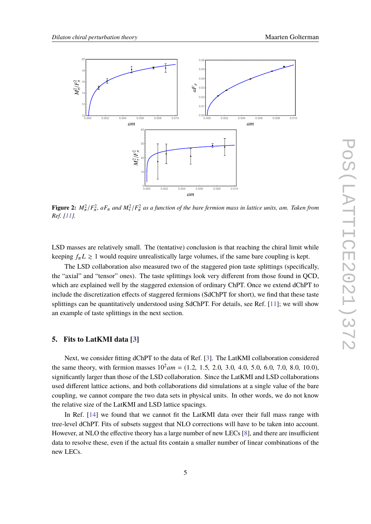<span id="page-4-0"></span>

**Figure 2:**  $M_{\pi}^2/F_{\pi}^2$ ,  $aF_{\pi}$  and  $M_{\tau}^2/F_{\pi}^2$  as a function of the bare fermion mass in lattice units, am. Taken from  $P_{\pi}$ *Ref. [\[11\]](#page-7-10).*

LSD masses are relatively small. The (tentative) conclusion is that reaching the chiral limit while keeping  $f_{\pi}L \ge 1$  would require unrealistically large volumes, if the same bare coupling is kept.

The LSD collaboration also measured two of the staggered pion taste splittings (specifically, the "axial" and "tensor" ones). The taste splittings look very different from those found in QCD, which are explained well by the staggered extension of ordinary ChPT. Once we extend dChPT to include the discretization effects of staggered fermions (SdChPT for short), we find that these taste splittings can be quantitatively understood using SdChPT. For details, see Ref. [\[11\]](#page-7-10); we will show an example of taste splittings in the next section.

# **5. Fits to LatKMI data [\[3\]](#page-7-2)**

Next, we consider fitting dChPT to the data of Ref. [\[3\]](#page-7-2). The LatKMI collaboration considered the same theory, with fermion masses  $10^2$  am = (1.2, 1.5, 2.0, 3.0, 4.0, 5.0, 6.0, 7.0, 8.0, 10.0), significantly larger than those of the LSD collaboration. Since the LatKMI and LSD collaborations used different lattice actions, and both collaborations did simulations at a single value of the bare coupling, we cannot compare the two data sets in physical units. In other words, we do not know the relative size of the LatKMI and LSD lattice spacings.

In Ref. [\[14\]](#page-8-0) we found that we cannot fit the LatKMI data over their full mass range with tree-level dChPT. Fits of subsets suggest that NLO corrections will have to be taken into account. However, at NLO the effective theory has a large number of new LECs [\[8\]](#page-7-7), and there are insufficient data to resolve these, even if the actual fits contain a smaller number of linear combinations of the new LECs.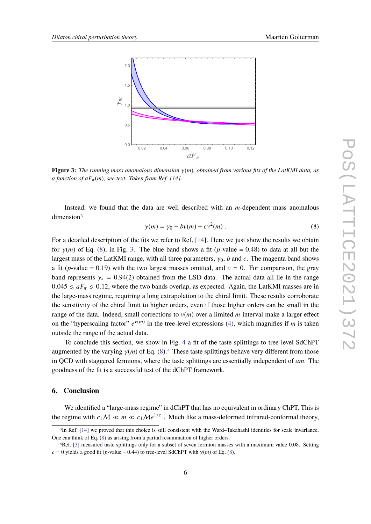<span id="page-5-2"></span>

**Figure 3:** *The running mass anomalous dimension* γ(*m*)*, obtained from various fits of the LatKMI data, as a function of*  $aF_{\pi}(m)$ *, see text. Taken from Ref.* [\[14\]](#page-8-0)*.* 

Instead, we found that the data are well described with an *m*-dependent mass anomalous dimension<sup>[3](#page-5-0)</sup>

<span id="page-5-1"></span>
$$
\gamma(m) = \gamma_0 - bv(m) + cv^2(m) \tag{8}
$$

For a detailed description of the fits we refer to Ref. [\[14\]](#page-8-0). Here we just show the results we obtain for  $\gamma(m)$  of Eq. [\(8\)](#page-5-1), in Fig. [3.](#page-5-2) The blue band shows a fit (*p*-value = 0.48) to data at all but the largest mass of the LatKMI range, with all three parameters,  $\gamma_0$ , *b* and *c*. The magenta band shows a fit (*p*-value = 0.19) with the two largest masses omitted, and  $c = 0$ . For comparison, the gray band represents  $\gamma_* = 0.94(2)$  obtained from the LSD data. The actual data all lie in the range  $0.045 \le aF_\pi \le 0.12$ , where the two bands overlap, as expected. Again, the LatKMI masses are in the large-mass regime, requiring a long extrapolation to the chiral limit. These results corroborate the sensitivity of the chiral limit to higher orders, even if those higher orders can be small in the range of the data. Indeed, small corrections to  $v(m)$  over a limited *m*-interval make a larger effect on the "hyperscaling factor"  $e^{v(m)}$  in the tree-level expressions [\(4\)](#page-2-1), which magnifies if *m* is taken outside the range of the actual data.

To conclude this section, we show in Fig. [4](#page-6-0) a fit of the taste splittings to tree-level SdChPT augmented by the varying  $\gamma(m)$  of Eq. [\(8\)](#page-5-1).<sup>[4](#page-5-3)</sup> These taste splittings behave very different from those in QCD with staggered fermions, where the taste splittings are essentially independent of *am*. The goodness of the fit is a successful test of the dChPT framework.

# **6. Conclusion**

We identified a "large-mass regime" in dChPT that has no equivalent in ordinary ChPT. This is the regime with  $c_1 M \ll m \ll c_1 M e^{1/c_1}$ . Much like a mass-deformed infrared-conformal theory,

<span id="page-5-0"></span><sup>3</sup>In Ref. [\[14\]](#page-8-0) we proved that this choice is still consistent with the Ward–Takahashi identities for scale invariance. One can think of Eq. [\(8\)](#page-5-1) as arising from a partial resummation of higher orders.

<span id="page-5-3"></span><sup>4</sup>Ref. [\[3\]](#page-7-2) measured taste splittings only for a subset of seven fermion masses with a maximum value 0.08. Setting *c* = 0 yields a good fit (*p*-value = 0.44) to tree-level SdChPT with  $\gamma(m)$  of Eq. [\(8\)](#page-5-1).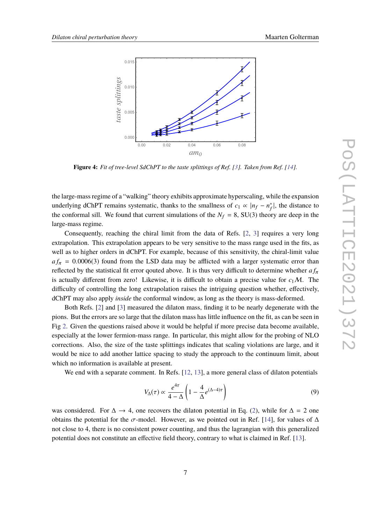<span id="page-6-0"></span>

**Figure 4:** *Fit of tree-level SdChPT to the taste splittings of Ref. [\[3\]](#page-7-2). Taken from Ref. [\[14\]](#page-8-0).*

the large-mass regime of a "walking" theory exhibits approximate hyperscaling, while the expansion underlying dChPT remains systematic, thanks to the smallness of  $c_1 \propto |n_f - n_f^*|$  $_{f}^{*}$ , the distance to the conformal sill. We found that current simulations of the  $N_f = 8$ , SU(3) theory are deep in the large-mass regime.

Consequently, reaching the chiral limit from the data of Refs. [\[2,](#page-7-0) [3\]](#page-7-2) requires a very long extrapolation. This extrapolation appears to be very sensitive to the mass range used in the fits, as well as to higher orders in dChPT. For example, because of this sensitivity, the chiral-limit value  $a f_\pi$  = 0.0006(3) found from the LSD data may be afflicted with a larger systematic error than reflected by the statistical fit error qouted above. It is thus very difficult to determine whether  $a f_\pi$ is actually different from zero! Likewise, it is difficult to obtain a precise value for  $c_1M$ . The difficulty of controlling the long extrapolation raises the intriguing question whether, effectively, dChPT may also apply *inside* the conformal window, as long as the theory is mass-deformed.

Both Refs. [\[2\]](#page-7-0) and [\[3\]](#page-7-2) measured the dilaton mass, finding it to be nearly degenerate with the pions. But the errors are so large that the dilaton mass has little influence on the fit, as can be seen in Fig [2.](#page-4-0) Given the questions raised above it would be helpful if more precise data become available, especially at the lower fermion-mass range. In particular, this might allow for the probing of NLO corrections. Also, the size of the taste splittings indicates that scaling violations are large, and it would be nice to add another lattice spacing to study the approach to the continuum limit, about which no information is available at present.

We end with a separate comment. In Refs. [\[12,](#page-8-1) [13\]](#page-8-2), a more general class of dilaton potentials

$$
V_{\Delta}(\tau) \propto \frac{e^{4\tau}}{4-\Delta} \left( 1 - \frac{4}{\Delta} e^{(\Delta - 4)\tau} \right) \tag{9}
$$

was considered. For  $\Delta \rightarrow 4$ , one recovers the dilaton potential in Eq. [\(2\)](#page-2-2), while for  $\Delta = 2$  one obtains the potential for the  $\sigma$ -model. However, as we pointed out in Ref. [\[14\]](#page-8-0), for values of  $\Delta$ not close to 4, there is no consistent power counting, and thus the lagrangian with this generalized potential does not constitute an effective field theory, contrary to what is claimed in Ref. [\[13\]](#page-8-2).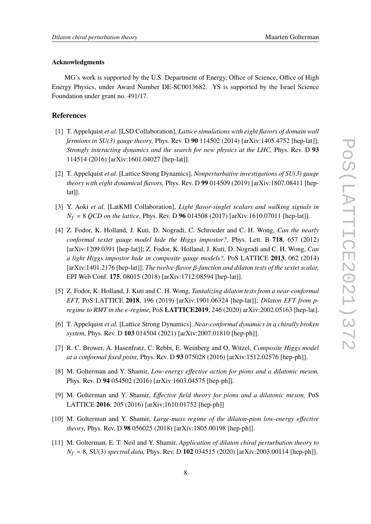#### **Acknowledgments**

MG's work is supported by the U.S. Department of Energy, Office of Science, Office of High Energy Physics, under Award Number DE-SC0013682. YS is supported by the Israel Science Foundation under grant no. 491/17.

# **References**

- <span id="page-7-1"></span>[1] T. Appelquist *et al.* [LSD Collaboration], *Lattice simulations with eight flavors of domain wall fermions in SU(3) gauge theory,* Phys. Rev. D **90** 114502 (2014) [arXiv:1405.4752 [hep-lat]]; *Strongly interacting dynamics and the search for new physics at the LHC,* Phys. Rev. D **93** 114514 (2016) [arXiv:1601.04027 [hep-lat]].
- <span id="page-7-0"></span>[2] T. Appelquist *et al.* [Lattice Strong Dynamics], *Nonperturbative investigations of SU(3) gauge theory with eight dynamical flavors,* Phys. Rev. D **99** 014509 (2019) [arXiv:1807.08411 [hep $lat$ ].
- <span id="page-7-2"></span>[3] Y. Aoki *et al.* [LatKMI Collaboration], *Light flavor-singlet scalars and walking signals in N*<sup>f</sup> = 8 *QCD on the lattice,* Phys. Rev. D **96** 014508 (2017) [arXiv:1610.07011 [hep-lat]].
- <span id="page-7-3"></span>[4] Z. Fodor, K. Holland, J. Kuti, D. Nogradi, C. Schroeder and C. H. Wong, *Can the nearly conformal sextet gauge model hide the Higgs impostor?,* Phys. Lett. B **718**, 657 (2012) [arXiv:1209.0391 [hep-lat]]; Z. Fodor, K. Holland, J. Kuti, D. Nogradi and C. H. Wong, *Can a light Higgs impostor hide in composite gauge models?,* PoS LATTICE **2013**, 062 (2014) [arXiv:1401.2176 [hep-lat]]; *The twelve-flavor* β*-function and dilaton tests of the sextet scalar,* EPJ Web Conf. **175**, 08015 (2018) [arXiv:1712.08594 [hep-lat]].
- <span id="page-7-4"></span>[5] Z. Fodor, K. Holland, J. Kuti and C. H. Wong, *Tantalizing dilaton tests from a near-conformal EFT,* PoS LATTICE **2018**, 196 (2019) [arXiv:1901.06324 [hep-lat]]; *Dilaton EFT from pregime to RMT in the -regime,* PoS **LATTICE2019**, 246 (2020) arXiv:2002.05163 [hep-lat].
- <span id="page-7-5"></span>[6] T. Appelquist *et al.* [Lattice Strong Dynamics], *Near-conformal dynamics in a chirally broken system,* Phys. Rev. D **103** 014504 (2021) [arXiv:2007.01810 [hep-ph]].
- <span id="page-7-6"></span>[7] R. C. Brower, A. Hasenfratz, C. Rebbi, E. Weinberg and O. Witzel, *Composite Higgs model at a conformal fixed point,* Phys. Rev. D **93** 075028 (2016) [arXiv:1512.02576 [hep-ph]].
- <span id="page-7-7"></span>[8] M. Golterman and Y. Shamir, *Low-energy effective action for pions and a dilatonic meson,* Phys. Rev. D **94** 054502 (2016) [arXiv:1603.04575 [hep-ph]].
- <span id="page-7-8"></span>[9] M. Golterman and Y. Shamir, *Effective field theory for pions and a dilatonic meson,* PoS LATTICE **2016**, 205 (2016) [arXiv:1610.01752 [hep-ph]]
- <span id="page-7-9"></span>[10] M. Golterman and Y. Shamir, *Large-mass regime of the dilaton-pion low-energy effective theory,* Phys. Rev. D **98** 056025 (2018) [arXiv:1805.00198 [hep-ph]].
- <span id="page-7-10"></span>[11] M. Golterman, E. T. Neil and Y. Shamir, *Application of dilaton chiral perturbation theory to N*<sup>f</sup> = 8*,* SU(3) *spectral data,* Phys. Rev. D **102** 034515 (2020) [arXiv:2003.00114 [hep-ph]].